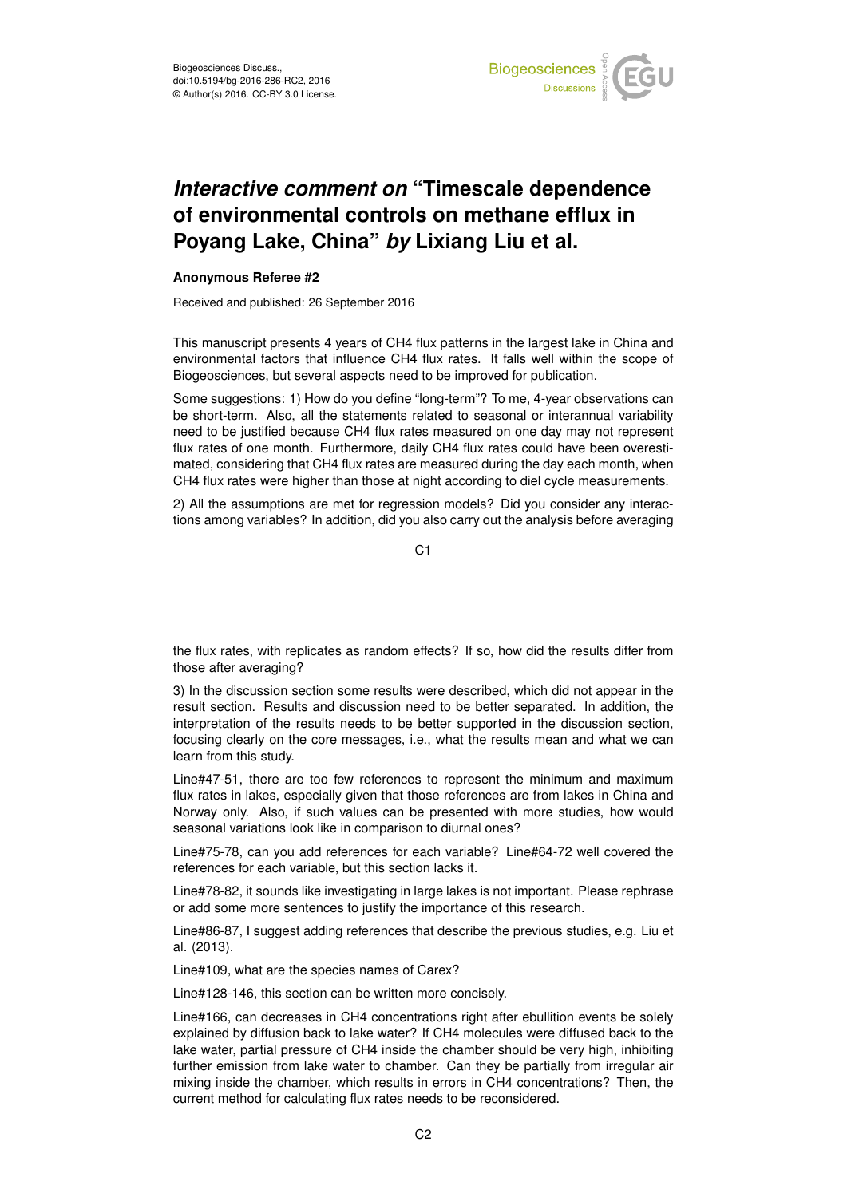

## *Interactive comment on* **"Timescale dependence of environmental controls on methane efflux in Poyang Lake, China"** *by* **Lixiang Liu et al.**

## **Anonymous Referee #2**

Received and published: 26 September 2016

This manuscript presents 4 years of CH4 flux patterns in the largest lake in China and environmental factors that influence CH4 flux rates. It falls well within the scope of Biogeosciences, but several aspects need to be improved for publication.

Some suggestions: 1) How do you define "long-term"? To me, 4-year observations can be short-term. Also, all the statements related to seasonal or interannual variability need to be justified because CH4 flux rates measured on one day may not represent flux rates of one month. Furthermore, daily CH4 flux rates could have been overestimated, considering that CH4 flux rates are measured during the day each month, when CH4 flux rates were higher than those at night according to diel cycle measurements.

2) All the assumptions are met for regression models? Did you consider any interactions among variables? In addition, did you also carry out the analysis before averaging

C<sub>1</sub>

the flux rates, with replicates as random effects? If so, how did the results differ from those after averaging?

3) In the discussion section some results were described, which did not appear in the result section. Results and discussion need to be better separated. In addition, the interpretation of the results needs to be better supported in the discussion section, focusing clearly on the core messages, i.e., what the results mean and what we can learn from this study.

Line#47-51, there are too few references to represent the minimum and maximum flux rates in lakes, especially given that those references are from lakes in China and Norway only. Also, if such values can be presented with more studies, how would seasonal variations look like in comparison to diurnal ones?

Line#75-78, can you add references for each variable? Line#64-72 well covered the references for each variable, but this section lacks it.

Line#78-82, it sounds like investigating in large lakes is not important. Please rephrase or add some more sentences to justify the importance of this research.

Line#86-87, I suggest adding references that describe the previous studies, e.g. Liu et al. (2013).

Line#109, what are the species names of Carex?

Line#128-146, this section can be written more concisely.

Line#166, can decreases in CH4 concentrations right after ebullition events be solely explained by diffusion back to lake water? If CH4 molecules were diffused back to the lake water, partial pressure of CH4 inside the chamber should be very high, inhibiting further emission from lake water to chamber. Can they be partially from irregular air mixing inside the chamber, which results in errors in CH4 concentrations? Then, the current method for calculating flux rates needs to be reconsidered.